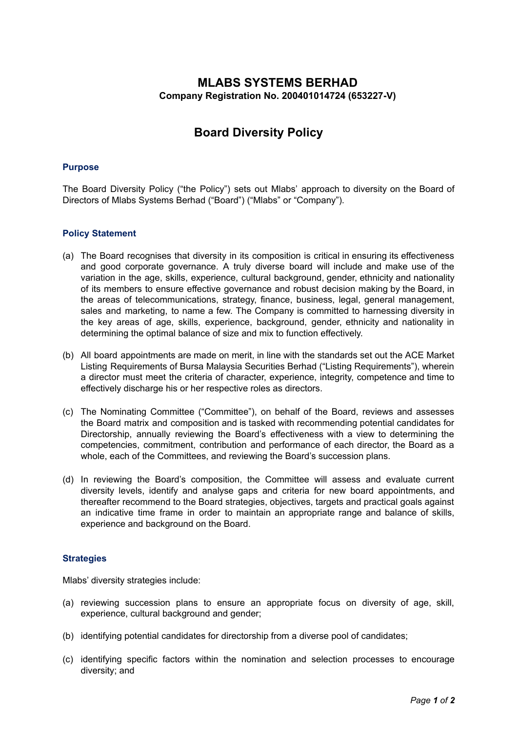# **MLABS SYSTEMS BERHAD Company Registration No. 200401014724 (653227-V)**

# **Board Diversity Policy**

## **Purpose**

The Board Diversity Policy ("the Policy") sets out Mlabs' approach to diversity on the Board of Directors of Mlabs Systems Berhad ("Board") ("Mlabs" or "Company").

#### **Policy Statement**

- (a) The Board recognises that diversity in its composition is critical in ensuring its effectiveness and good corporate governance. A truly diverse board will include and make use of the variation in the age, skills, experience, cultural background, gender, ethnicity and nationality of its members to ensure effective governance and robust decision making by the Board, in the areas of telecommunications, strategy, finance, business, legal, general management, sales and marketing, to name a few. The Company is committed to harnessing diversity in the key areas of age, skills, experience, background, gender, ethnicity and nationality in determining the optimal balance of size and mix to function effectively.
- (b) All board appointments are made on merit, in line with the standards set out the ACE Market Listing Requirements of Bursa Malaysia Securities Berhad ("Listing Requirements"), wherein a director must meet the criteria of character, experience, integrity, competence and time to effectively discharge his or her respective roles as directors.
- (c) The Nominating Committee ("Committee"), on behalf of the Board, reviews and assesses the Board matrix and composition and is tasked with recommending potential candidates for Directorship, annually reviewing the Board's effectiveness with a view to determining the competencies, commitment, contribution and performance of each director, the Board as a whole, each of the Committees, and reviewing the Board's succession plans.
- (d) In reviewing the Board's composition, the Committee will assess and evaluate current diversity levels, identify and analyse gaps and criteria for new board appointments, and thereafter recommend to the Board strategies, objectives, targets and practical goals against an indicative time frame in order to maintain an appropriate range and balance of skills, experience and background on the Board.

#### **Strategies**

Mlabs' diversity strategies include:

- (a) reviewing succession plans to ensure an appropriate focus on diversity of age, skill, experience, cultural background and gender;
- (b) identifying potential candidates for directorship from a diverse pool of candidates;
- (c) identifying specific factors within the nomination and selection processes to encourage diversity; and